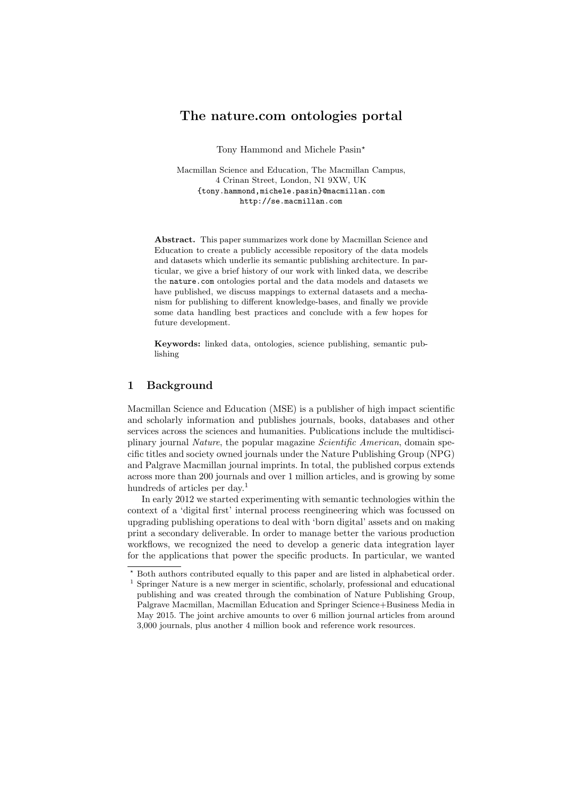# The nature.com ontologies portal

Tony Hammond and Michele Pasin<sup>\*</sup>

Macmillan Science and Education, The Macmillan Campus, 4 Crinan Street, London, N1 9XW, UK {tony.hammond,michele.pasin}@macmillan.com http://se.macmillan.com

Abstract. This paper summarizes work done by Macmillan Science and Education to create a publicly accessible repository of the data models and datasets which underlie its semantic publishing architecture. In particular, we give a brief history of our work with linked data, we describe the nature.com ontologies portal and the data models and datasets we have published, we discuss mappings to external datasets and a mechanism for publishing to different knowledge-bases, and finally we provide some data handling best practices and conclude with a few hopes for future development.

Keywords: linked data, ontologies, science publishing, semantic publishing

## 1 Background

Macmillan Science and Education (MSE) is a publisher of high impact scientific and scholarly information and publishes journals, books, databases and other services across the sciences and humanities. Publications include the multidisciplinary journal Nature, the popular magazine Scientific American, domain specific titles and society owned journals under the Nature Publishing Group (NPG) and Palgrave Macmillan journal imprints. In total, the published corpus extends across more than 200 journals and over 1 million articles, and is growing by some hundreds of articles per day.<sup>1</sup>

In early 2012 we started experimenting with semantic technologies within the context of a 'digital first' internal process reengineering which was focussed on upgrading publishing operations to deal with 'born digital' assets and on making print a secondary deliverable. In order to manage better the various production workflows, we recognized the need to develop a generic data integration layer for the applications that power the specific products. In particular, we wanted

<sup>⋆</sup> Both authors contributed equally to this paper and are listed in alphabetical order.  $^1$  Springer Nature is a new merger in scientific, scholarly, professional and educational publishing and was created through the combination of Nature Publishing Group, Palgrave Macmillan, Macmillan Education and Springer Science+Business Media in May 2015. The joint archive amounts to over 6 million journal articles from around 3,000 journals, plus another 4 million book and reference work resources.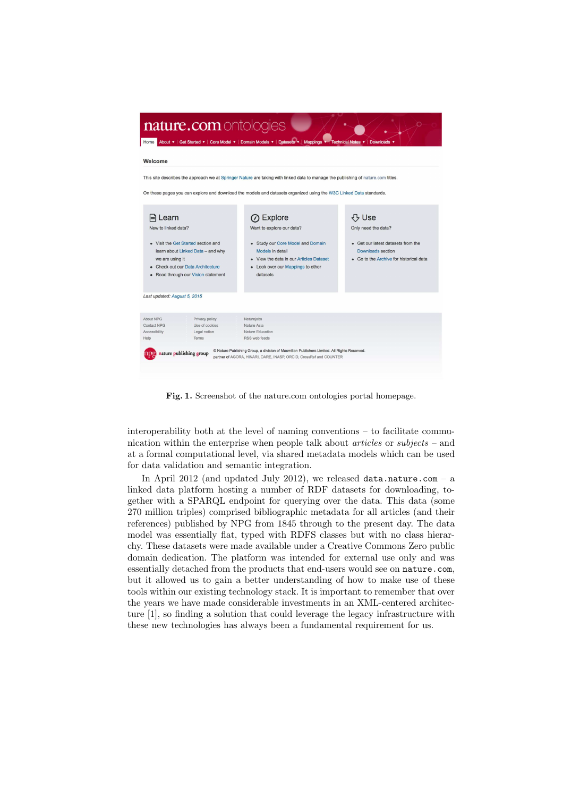

Fig. 1. Screenshot of the nature.com ontologies portal homepage.

interoperability both at the level of naming conventions – to facilitate communication within the enterprise when people talk about articles or subjects – and at a formal computational level, via shared metadata models which can be used for data validation and semantic integration.

In April 2012 (and updated July 2012), we released data.nature.com – a linked data platform hosting a number of RDF datasets for downloading, together with a SPARQL endpoint for querying over the data. This data (some 270 million triples) comprised bibliographic metadata for all articles (and their references) published by NPG from 1845 through to the present day. The data model was essentially flat, typed with RDFS classes but with no class hierarchy. These datasets were made available under a Creative Commons Zero public domain dedication. The platform was intended for external use only and was essentially detached from the products that end-users would see on nature.com, but it allowed us to gain a better understanding of how to make use of these tools within our existing technology stack. It is important to remember that over the years we have made considerable investments in an XML-centered architecture [1], so finding a solution that could leverage the legacy infrastructure with these new technologies has always been a fundamental requirement for us.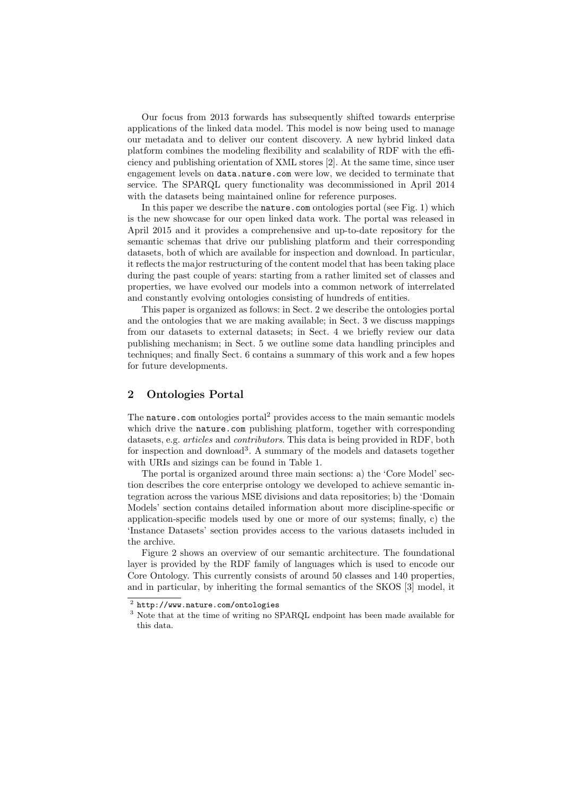Our focus from 2013 forwards has subsequently shifted towards enterprise applications of the linked data model. This model is now being used to manage our metadata and to deliver our content discovery. A new hybrid linked data platform combines the modeling flexibility and scalability of RDF with the efficiency and publishing orientation of XML stores [2]. At the same time, since user engagement levels on data.nature.com were low, we decided to terminate that service. The SPARQL query functionality was decommissioned in April 2014 with the datasets being maintained online for reference purposes.

In this paper we describe the **nature**.com ontologies portal (see Fig. 1) which is the new showcase for our open linked data work. The portal was released in April 2015 and it provides a comprehensive and up-to-date repository for the semantic schemas that drive our publishing platform and their corresponding datasets, both of which are available for inspection and download. In particular, it reflects the major restructuring of the content model that has been taking place during the past couple of years: starting from a rather limited set of classes and properties, we have evolved our models into a common network of interrelated and constantly evolving ontologies consisting of hundreds of entities.

This paper is organized as follows: in Sect. 2 we describe the ontologies portal and the ontologies that we are making available; in Sect. 3 we discuss mappings from our datasets to external datasets; in Sect. 4 we briefly review our data publishing mechanism; in Sect. 5 we outline some data handling principles and techniques; and finally Sect. 6 contains a summary of this work and a few hopes for future developments.

## 2 Ontologies Portal

The nature.com ontologies portal<sup>2</sup> provides access to the main semantic models which drive the nature.com publishing platform, together with corresponding datasets, e.g. *articles* and *contributors*. This data is being provided in RDF, both for inspection and download<sup>3</sup>. A summary of the models and datasets together with URIs and sizings can be found in Table 1.

The portal is organized around three main sections: a) the 'Core Model' section describes the core enterprise ontology we developed to achieve semantic integration across the various MSE divisions and data repositories; b) the 'Domain Models' section contains detailed information about more discipline-specific or application-specific models used by one or more of our systems; finally, c) the 'Instance Datasets' section provides access to the various datasets included in the archive.

Figure 2 shows an overview of our semantic architecture. The foundational layer is provided by the RDF family of languages which is used to encode our Core Ontology. This currently consists of around 50 classes and 140 properties, and in particular, by inheriting the formal semantics of the SKOS [3] model, it

<sup>2</sup> http://www.nature.com/ontologies

<sup>&</sup>lt;sup>3</sup> Note that at the time of writing no SPARQL endpoint has been made available for this data.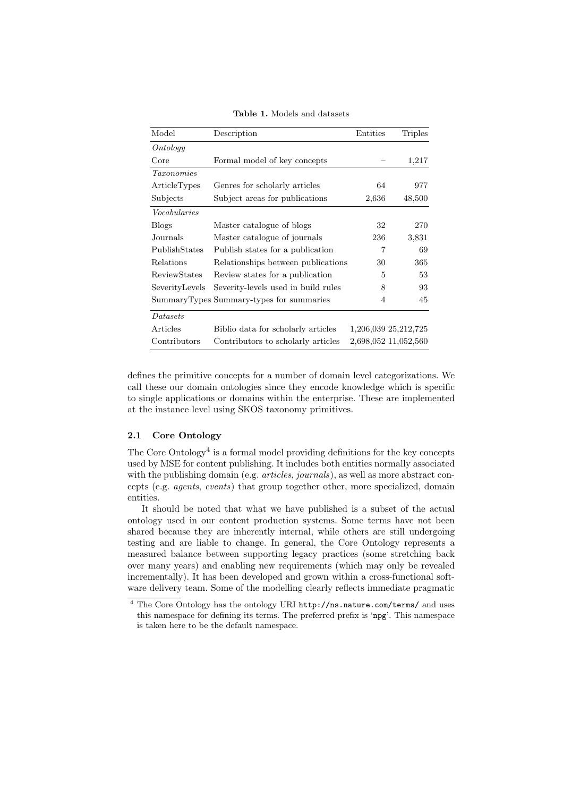| Model               | Description                              | Entities | <b>Triples</b>       |
|---------------------|------------------------------------------|----------|----------------------|
| Ontology            |                                          |          |                      |
| Core                | Formal model of key concepts             |          | 1,217                |
| <i>Taxonomies</i>   |                                          |          |                      |
| ArticleTypes        | Genres for scholarly articles            | 64       | 977                  |
| Subjects            | Subject areas for publications           | 2,636    | 48,500               |
| Vocabularies        |                                          |          |                      |
| <b>Blogs</b>        | Master catalogue of blogs                | 32       | 270                  |
| Journals            | Master catalogue of journals             | 236      | 3,831                |
| PublishStates       | Publish states for a publication         | 7        | 69                   |
| Relations           | Relationships between publications       | 30       | 365                  |
| <b>ReviewStates</b> | Review states for a publication          | 5        | 53                   |
| SeverityLevels      | Severity-levels used in build rules      | 8        | 93                   |
|                     | SummaryTypes Summary-types for summaries | 4        | 45                   |
| Datasets            |                                          |          |                      |
| Articles            | Biblio data for scholarly articles       |          | 1,206,039 25,212,725 |
| Contributors        | Contributors to scholarly articles       |          | 2,698,052 11,052,560 |

Table 1. Models and datasets

defines the primitive concepts for a number of domain level categorizations. We call these our domain ontologies since they encode knowledge which is specific to single applications or domains within the enterprise. These are implemented at the instance level using SKOS taxonomy primitives.

#### 2.1 Core Ontology

The Core Ontology<sup>4</sup> is a formal model providing definitions for the key concepts used by MSE for content publishing. It includes both entities normally associated with the publishing domain (e.g. *articles, journals*), as well as more abstract concepts (e.g. agents, events) that group together other, more specialized, domain entities.

It should be noted that what we have published is a subset of the actual ontology used in our content production systems. Some terms have not been shared because they are inherently internal, while others are still undergoing testing and are liable to change. In general, the Core Ontology represents a measured balance between supporting legacy practices (some stretching back over many years) and enabling new requirements (which may only be revealed incrementally). It has been developed and grown within a cross-functional software delivery team. Some of the modelling clearly reflects immediate pragmatic

<sup>&</sup>lt;sup>4</sup> The Core Ontology has the ontology URI http://ns.nature.com/terms/ and uses this namespace for defining its terms. The preferred prefix is 'npg'. This namespace is taken here to be the default namespace.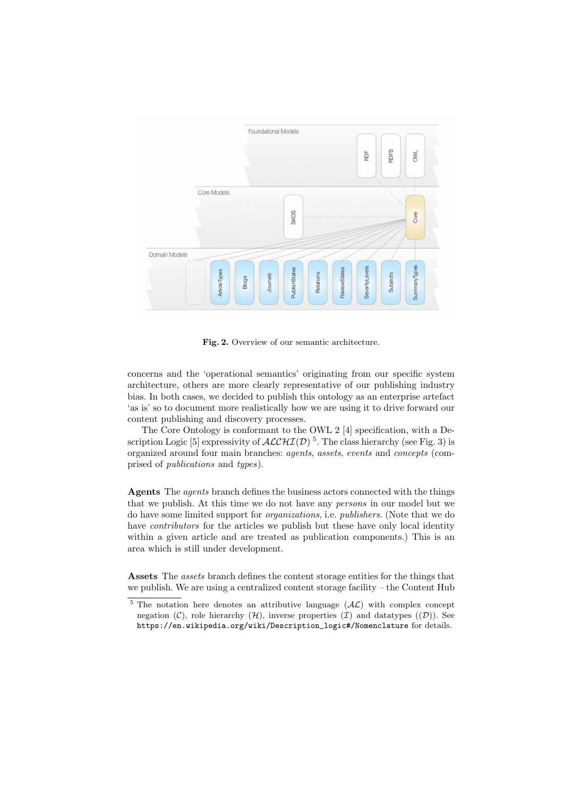

Fig. 2. Overview of our semantic architecture.

concerns and the 'operational semantics' originating from our specific system architecture, others are more clearly representative of our publishing industry bias. In both cases, we decided to publish this ontology as an enterprise artefact 'as is' so to document more realistically how we are using it to drive forward our content publishing and discovery processes.

The Core Ontology is conformant to the OWL 2 [4] specification, with a Description Logic [5] expressivity of  $\text{ALCHI}(\mathcal{D})$ <sup>5</sup>. The class hierarchy (see Fig. 3) is organized around four main branches: agents, assets, events and concepts (comprised of publications and types).

Agents The agents branch defines the business actors connected with the things that we publish. At this time we do not have any persons in our model but we do have some limited support for organizations, i.e. publishers. (Note that we do have *contributors* for the articles we publish but these have only local identity within a given article and are treated as publication components.) This is an area which is still under development.

Assets The *assets* branch defines the content storage entities for the things that we publish. We are using a centralized content storage facility – the Content Hub

 $\frac{5}{5}$  The notation here denotes an attributive language  $(AC)$  with complex concept negation  $(C)$ , role hierarchy  $(H)$ , inverse properties  $(\mathcal{I})$  and datatypes  $((\mathcal{D}))$ . See https://en.wikipedia.org/wiki/Description\_logic#/Nomenclature for details.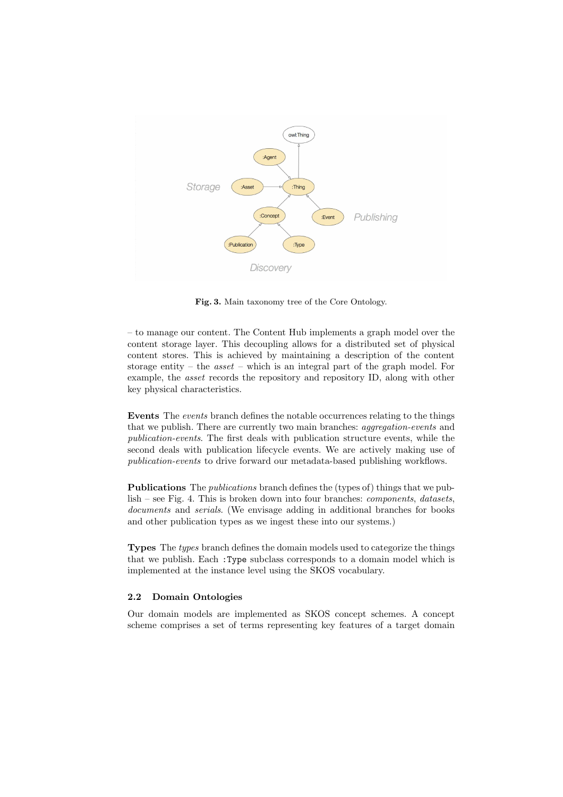

Fig. 3. Main taxonomy tree of the Core Ontology.

– to manage our content. The Content Hub implements a graph model over the content storage layer. This decoupling allows for a distributed set of physical content stores. This is achieved by maintaining a description of the content storage entity – the *asset* – which is an integral part of the graph model. For example, the asset records the repository and repository ID, along with other key physical characteristics.

Events The events branch defines the notable occurrences relating to the things that we publish. There are currently two main branches: aggregation-events and publication-events. The first deals with publication structure events, while the second deals with publication lifecycle events. We are actively making use of publication-events to drive forward our metadata-based publishing workflows.

Publications The publications branch defines the (types of) things that we publish – see Fig. 4. This is broken down into four branches: components, datasets, documents and serials. (We envisage adding in additional branches for books and other publication types as we ingest these into our systems.)

Types The types branch defines the domain models used to categorize the things that we publish. Each :Type subclass corresponds to a domain model which is implemented at the instance level using the SKOS vocabulary.

#### 2.2 Domain Ontologies

Our domain models are implemented as SKOS concept schemes. A concept scheme comprises a set of terms representing key features of a target domain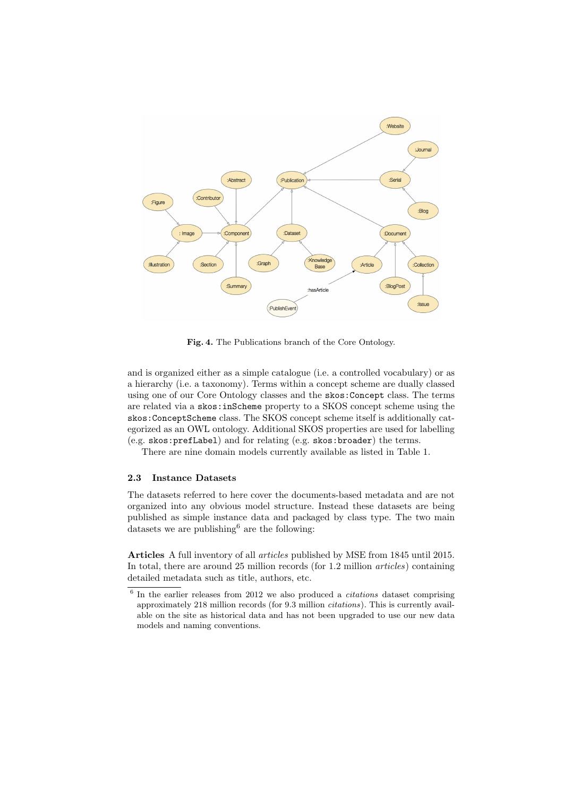

Fig. 4. The Publications branch of the Core Ontology.

and is organized either as a simple catalogue (i.e. a controlled vocabulary) or as a hierarchy (i.e. a taxonomy). Terms within a concept scheme are dually classed using one of our Core Ontology classes and the skos:Concept class. The terms are related via a skos:inScheme property to a SKOS concept scheme using the skos:ConceptScheme class. The SKOS concept scheme itself is additionally categorized as an OWL ontology. Additional SKOS properties are used for labelling (e.g. skos:prefLabel) and for relating (e.g. skos:broader) the terms.

There are nine domain models currently available as listed in Table 1.

#### 2.3 Instance Datasets

The datasets referred to here cover the documents-based metadata and are not organized into any obvious model structure. Instead these datasets are being published as simple instance data and packaged by class type. The two main datasets we are publishing<sup>6</sup> are the following:

Articles A full inventory of all articles published by MSE from 1845 until 2015. In total, there are around 25 million records (for 1.2 million *articles*) containing detailed metadata such as title, authors, etc.

 $6$  In the earlier releases from 2012 we also produced a *citations* dataset comprising approximately 218 million records (for 9.3 million citations). This is currently available on the site as historical data and has not been upgraded to use our new data models and naming conventions.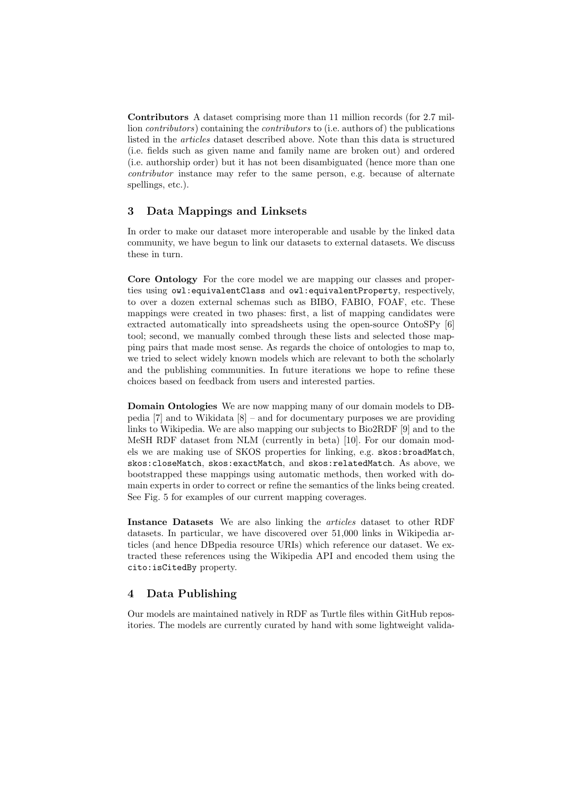Contributors A dataset comprising more than 11 million records (for 2.7 million contributors) containing the contributors to (i.e. authors of) the publications listed in the articles dataset described above. Note than this data is structured (i.e. fields such as given name and family name are broken out) and ordered (i.e. authorship order) but it has not been disambiguated (hence more than one contributor instance may refer to the same person, e.g. because of alternate spellings, etc.).

# 3 Data Mappings and Linksets

In order to make our dataset more interoperable and usable by the linked data community, we have begun to link our datasets to external datasets. We discuss these in turn.

Core Ontology For the core model we are mapping our classes and properties using owl:equivalentClass and owl:equivalentProperty, respectively, to over a dozen external schemas such as BIBO, FABIO, FOAF, etc. These mappings were created in two phases: first, a list of mapping candidates were extracted automatically into spreadsheets using the open-source OntoSPy [6] tool; second, we manually combed through these lists and selected those mapping pairs that made most sense. As regards the choice of ontologies to map to, we tried to select widely known models which are relevant to both the scholarly and the publishing communities. In future iterations we hope to refine these choices based on feedback from users and interested parties.

Domain Ontologies We are now mapping many of our domain models to DBpedia [7] and to Wikidata [8] – and for documentary purposes we are providing links to Wikipedia. We are also mapping our subjects to Bio2RDF [9] and to the MeSH RDF dataset from NLM (currently in beta) [10]. For our domain models we are making use of SKOS properties for linking, e.g. skos:broadMatch, skos:closeMatch, skos:exactMatch, and skos:relatedMatch. As above, we bootstrapped these mappings using automatic methods, then worked with domain experts in order to correct or refine the semantics of the links being created. See Fig. 5 for examples of our current mapping coverages.

Instance Datasets We are also linking the articles dataset to other RDF datasets. In particular, we have discovered over 51,000 links in Wikipedia articles (and hence DBpedia resource URIs) which reference our dataset. We extracted these references using the Wikipedia API and encoded them using the cito:isCitedBy property.

## 4 Data Publishing

Our models are maintained natively in RDF as Turtle files within GitHub repositories. The models are currently curated by hand with some lightweight valida-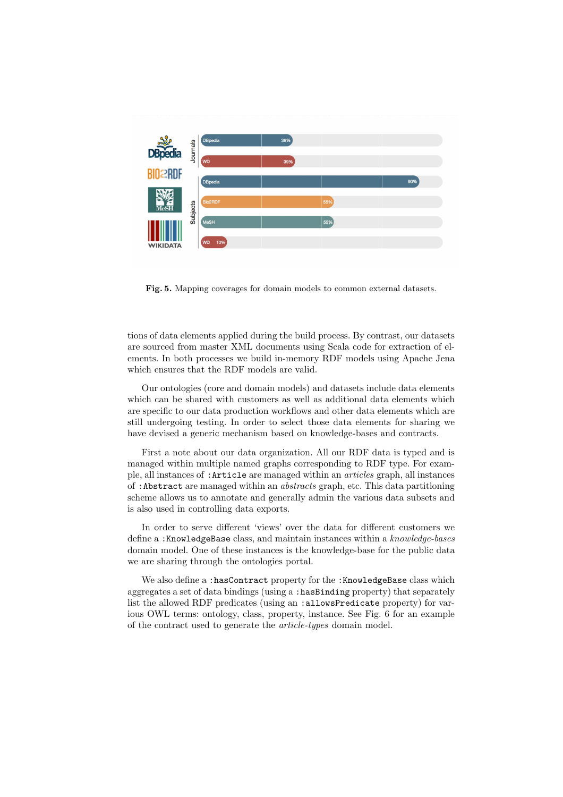

Fig. 5. Mapping coverages for domain models to common external datasets.

tions of data elements applied during the build process. By contrast, our datasets are sourced from master XML documents using Scala code for extraction of elements. In both processes we build in-memory RDF models using Apache Jena which ensures that the RDF models are valid.

Our ontologies (core and domain models) and datasets include data elements which can be shared with customers as well as additional data elements which are specific to our data production workflows and other data elements which are still undergoing testing. In order to select those data elements for sharing we have devised a generic mechanism based on knowledge-bases and contracts.

First a note about our data organization. All our RDF data is typed and is managed within multiple named graphs corresponding to RDF type. For example, all instances of :Article are managed within an articles graph, all instances of :Abstract are managed within an abstracts graph, etc. This data partitioning scheme allows us to annotate and generally admin the various data subsets and is also used in controlling data exports.

In order to serve different 'views' over the data for different customers we define a :KnowledgeBase class, and maintain instances within a knowledge-bases domain model. One of these instances is the knowledge-base for the public data we are sharing through the ontologies portal.

We also define a : hasContract property for the : KnowledgeBase class which aggregates a set of data bindings (using a :hasBinding property) that separately list the allowed RDF predicates (using an :allowsPredicate property) for various OWL terms: ontology, class, property, instance. See Fig. 6 for an example of the contract used to generate the article-types domain model.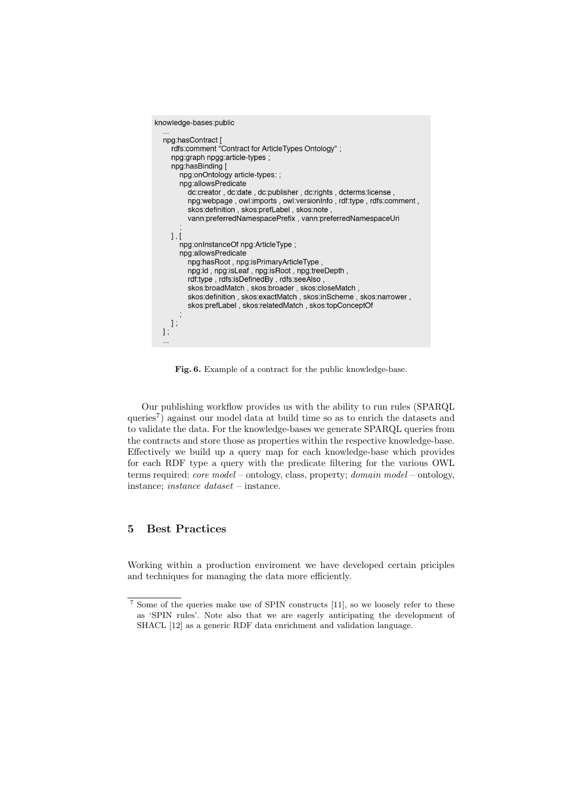```
knowledge-bases:public
 ...<br>npg:hasContract [<br>rdfs:comment "Contract for ArticleTypes Ontology";
   npg:graph npgg:article-types ;
   npg:hasBinding [
      npg:onOntology article-types:;
      npg:allowsPredicate
         dc:creator, dc:date, dc:publisher, dc:rights, dcterms:license,
         npg:webpage, owl:imports, owl:versionInfo, rdf:type, rdfs:comment,
         skos:definition, skos:prefLabel, skos:note
         vann:preferredNamespacePrefix, vann:preferredNamespaceUri
   1.1npg:onInstanceOf npg:ArticleType;
      npg:allowsPredicate
         npg:hasRoot, npg:isPrimaryArticleType
         npg:id, npg:isLeaf, npg:isRoot, npg:treeDepth,
         rdf:type, rdfs:isDefinedBy, rdfs:seeAlso,
        skos:broadMatch, skos:broader, skos:closeMatch,
         skos:definition, skos:exactMatch, skos:inScheme, skos:narrower,
         skos:prefLabel, skos:relatedMatch, skos:topConceptOf
   \vert,
\mathbf{1}
```
Fig. 6. Example of a contract for the public knowledge-base.

Our publishing workflow provides us with the ability to run rules (SPARQL queries<sup>7</sup>) against our model data at build time so as to enrich the datasets and to validate the data. For the knowledge-bases we generate SPARQL queries from the contracts and store those as properties within the respective knowledge-base. Effectively we build up a query map for each knowledge-base which provides for each RDF type a query with the predicate filtering for the various OWL terms required: core model – ontology, class, property; domain model – ontology, instance; instance dataset – instance.

# 5 Best Practices

Working within a production enviroment we have developed certain priciples and techniques for managing the data more efficiently.

<sup>7</sup> Some of the queries make use of SPIN constructs [11], so we loosely refer to these as 'SPIN rules'. Note also that we are eagerly anticipating the development of SHACL [12] as a generic RDF data enrichment and validation language.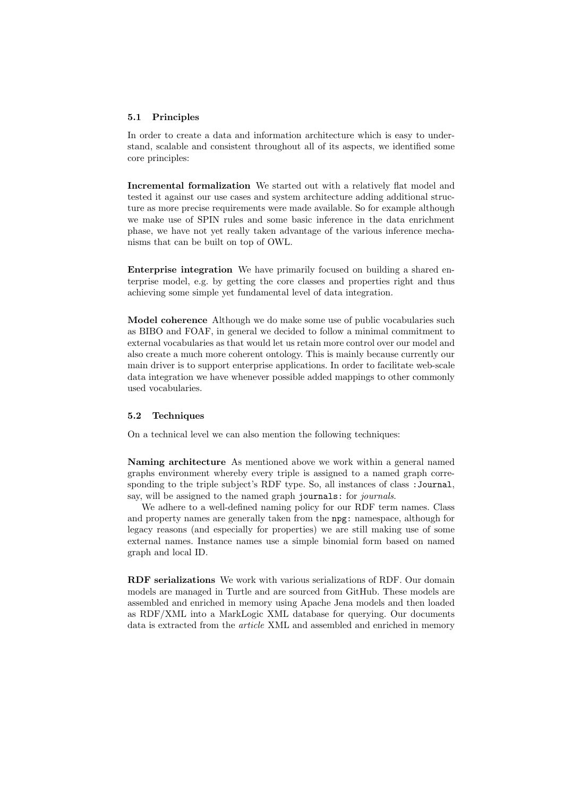#### 5.1 Principles

In order to create a data and information architecture which is easy to understand, scalable and consistent throughout all of its aspects, we identified some core principles:

Incremental formalization We started out with a relatively flat model and tested it against our use cases and system architecture adding additional structure as more precise requirements were made available. So for example although we make use of SPIN rules and some basic inference in the data enrichment phase, we have not yet really taken advantage of the various inference mechanisms that can be built on top of OWL.

Enterprise integration We have primarily focused on building a shared enterprise model, e.g. by getting the core classes and properties right and thus achieving some simple yet fundamental level of data integration.

Model coherence Although we do make some use of public vocabularies such as BIBO and FOAF, in general we decided to follow a minimal commitment to external vocabularies as that would let us retain more control over our model and also create a much more coherent ontology. This is mainly because currently our main driver is to support enterprise applications. In order to facilitate web-scale data integration we have whenever possible added mappings to other commonly used vocabularies.

#### 5.2 Techniques

On a technical level we can also mention the following techniques:

Naming architecture As mentioned above we work within a general named graphs environment whereby every triple is assigned to a named graph corresponding to the triple subject's RDF type. So, all instances of class :Journal, say, will be assigned to the named graph journals: for *journals*.

We adhere to a well-defined naming policy for our RDF term names. Class and property names are generally taken from the npg: namespace, although for legacy reasons (and especially for properties) we are still making use of some external names. Instance names use a simple binomial form based on named graph and local ID.

RDF serializations We work with various serializations of RDF. Our domain models are managed in Turtle and are sourced from GitHub. These models are assembled and enriched in memory using Apache Jena models and then loaded as RDF/XML into a MarkLogic XML database for querying. Our documents data is extracted from the *article* XML and assembled and enriched in memory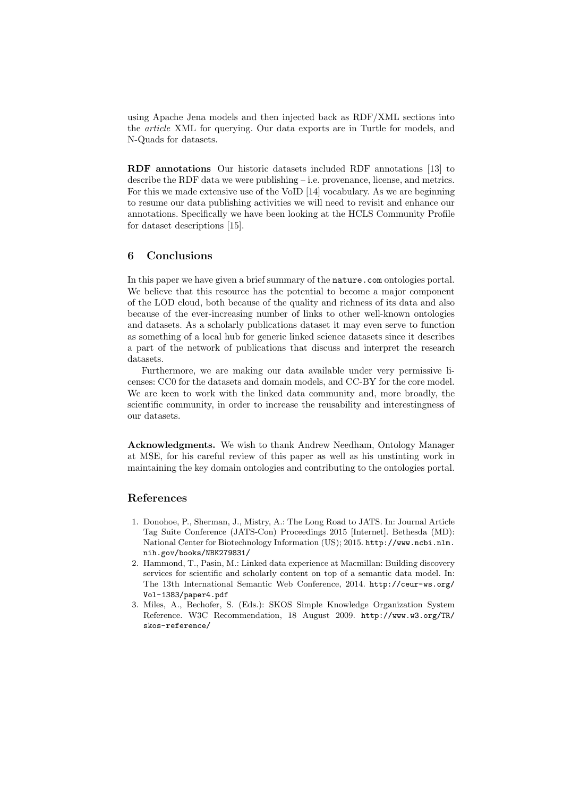using Apache Jena models and then injected back as RDF/XML sections into the article XML for querying. Our data exports are in Turtle for models, and N-Quads for datasets.

RDF annotations Our historic datasets included RDF annotations [13] to describe the RDF data we were publishing – i.e. provenance, license, and metrics. For this we made extensive use of the VoID [14] vocabulary. As we are beginning to resume our data publishing activities we will need to revisit and enhance our annotations. Specifically we have been looking at the HCLS Community Profile for dataset descriptions [15].

# 6 Conclusions

In this paper we have given a brief summary of the nature.com ontologies portal. We believe that this resource has the potential to become a major component of the LOD cloud, both because of the quality and richness of its data and also because of the ever-increasing number of links to other well-known ontologies and datasets. As a scholarly publications dataset it may even serve to function as something of a local hub for generic linked science datasets since it describes a part of the network of publications that discuss and interpret the research datasets.

Furthermore, we are making our data available under very permissive licenses: CC0 for the datasets and domain models, and CC-BY for the core model. We are keen to work with the linked data community and, more broadly, the scientific community, in order to increase the reusability and interestingness of our datasets.

Acknowledgments. We wish to thank Andrew Needham, Ontology Manager at MSE, for his careful review of this paper as well as his unstinting work in maintaining the key domain ontologies and contributing to the ontologies portal.

## References

- 1. Donohoe, P., Sherman, J., Mistry, A.: The Long Road to JATS. In: Journal Article Tag Suite Conference (JATS-Con) Proceedings 2015 [Internet]. Bethesda (MD): National Center for Biotechnology Information (US); 2015. http://www.ncbi.nlm. nih.gov/books/NBK279831/
- 2. Hammond, T., Pasin, M.: Linked data experience at Macmillan: Building discovery services for scientific and scholarly content on top of a semantic data model. In: The 13th International Semantic Web Conference, 2014. http://ceur-ws.org/ Vol-1383/paper4.pdf
- 3. Miles, A., Bechofer, S. (Eds.): SKOS Simple Knowledge Organization System Reference. W3C Recommendation, 18 August 2009. http://www.w3.org/TR/ skos-reference/